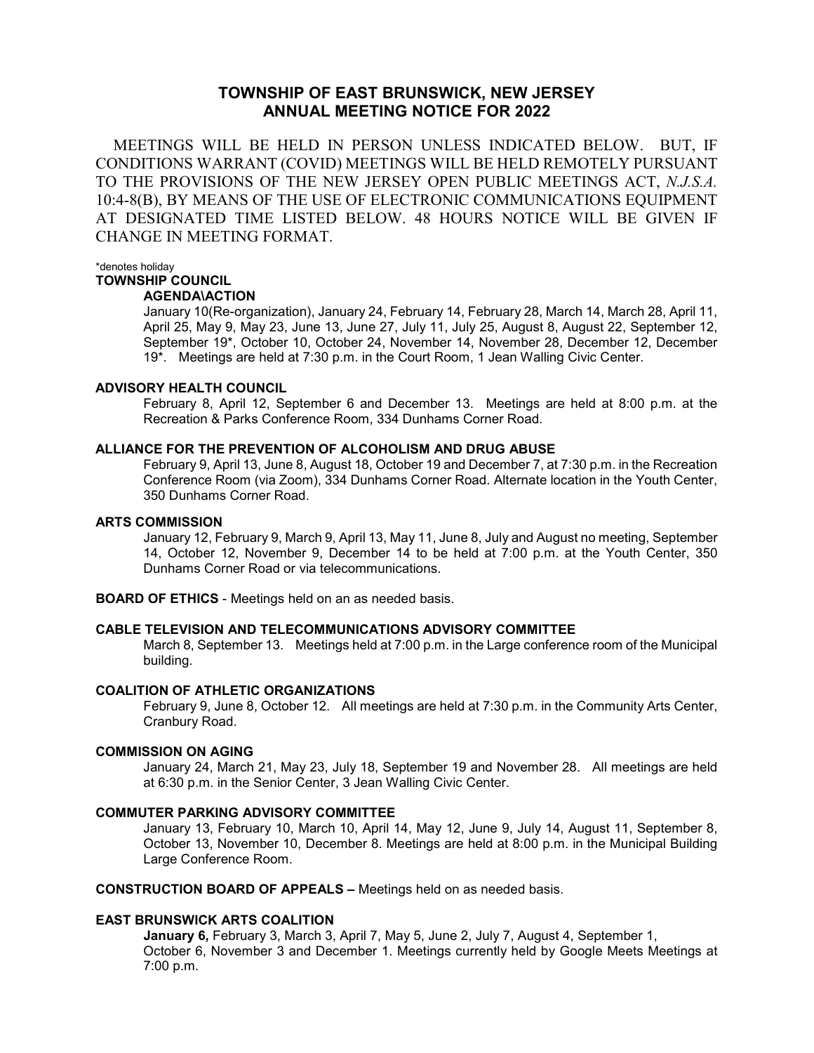# **TOWNSHIP OF EAST BRUNSWICK, NEW JERSEY ANNUAL MEETING NOTICE FOR 2022**

 MEETINGS WILL BE HELD IN PERSON UNLESS INDICATED BELOW. BUT, IF CONDITIONS WARRANT (COVID) MEETINGS WILL BE HELD REMOTELY PURSUANT TO THE PROVISIONS OF THE NEW JERSEY OPEN PUBLIC MEETINGS ACT, *N.J.S.A.* 10:4-8(B), BY MEANS OF THE USE OF ELECTRONIC COMMUNICATIONS EQUIPMENT AT DESIGNATED TIME LISTED BELOW. 48 HOURS NOTICE WILL BE GIVEN IF CHANGE IN MEETING FORMAT.

\*denotes holiday

# **TOWNSHIP COUNCIL**

# **AGENDA\ACTION**

January 10(Re-organization), January 24, February 14, February 28, March 14, March 28, April 11, April 25, May 9, May 23, June 13, June 27, July 11, July 25, August 8, August 22, September 12, September 19\*, October 10, October 24, November 14, November 28, December 12, December 19\*. Meetings are held at 7:30 p.m. in the Court Room, 1 Jean Walling Civic Center.

## **ADVISORY HEALTH COUNCIL**

February 8, April 12, September 6 and December 13. Meetings are held at 8:00 p.m. at the Recreation & Parks Conference Room, 334 Dunhams Corner Road.

## **ALLIANCE FOR THE PREVENTION OF ALCOHOLISM AND DRUG ABUSE**

February 9, April 13, June 8, August 18, October 19 and December 7, at 7:30 p.m. in the Recreation Conference Room (via Zoom), 334 Dunhams Corner Road. Alternate location in the Youth Center, 350 Dunhams Corner Road.

#### **ARTS COMMISSION**

January 12, February 9, March 9, April 13, May 11, June 8, July and August no meeting, September 14, October 12, November 9, December 14 to be held at 7:00 p.m. at the Youth Center, 350 Dunhams Corner Road or via telecommunications.

**BOARD OF ETHICS** - Meetings held on an as needed basis.

# **CABLE TELEVISION AND TELECOMMUNICATIONS ADVISORY COMMITTEE**

March 8, September 13. Meetings held at 7:00 p.m. in the Large conference room of the Municipal building.

#### **COALITION OF ATHLETIC ORGANIZATIONS**

February 9, June 8, October 12. All meetings are held at 7:30 p.m. in the Community Arts Center, Cranbury Road.

#### **COMMISSION ON AGING**

January 24, March 21, May 23, July 18, September 19 and November 28. All meetings are held at 6:30 p.m. in the Senior Center, 3 Jean Walling Civic Center.

#### **COMMUTER PARKING ADVISORY COMMITTEE**

January 13, February 10, March 10, April 14, May 12, June 9, July 14, August 11, September 8, October 13, November 10, December 8. Meetings are held at 8:00 p.m. in the Municipal Building Large Conference Room.

**CONSTRUCTION BOARD OF APPEALS –** Meetings held on as needed basis.

#### **EAST BRUNSWICK ARTS COALITION**

**January 6,** February 3, March 3, April 7, May 5, June 2, July 7, August 4, September 1, October 6, November 3 and December 1. Meetings currently held by Google Meets Meetings at 7:00 p.m.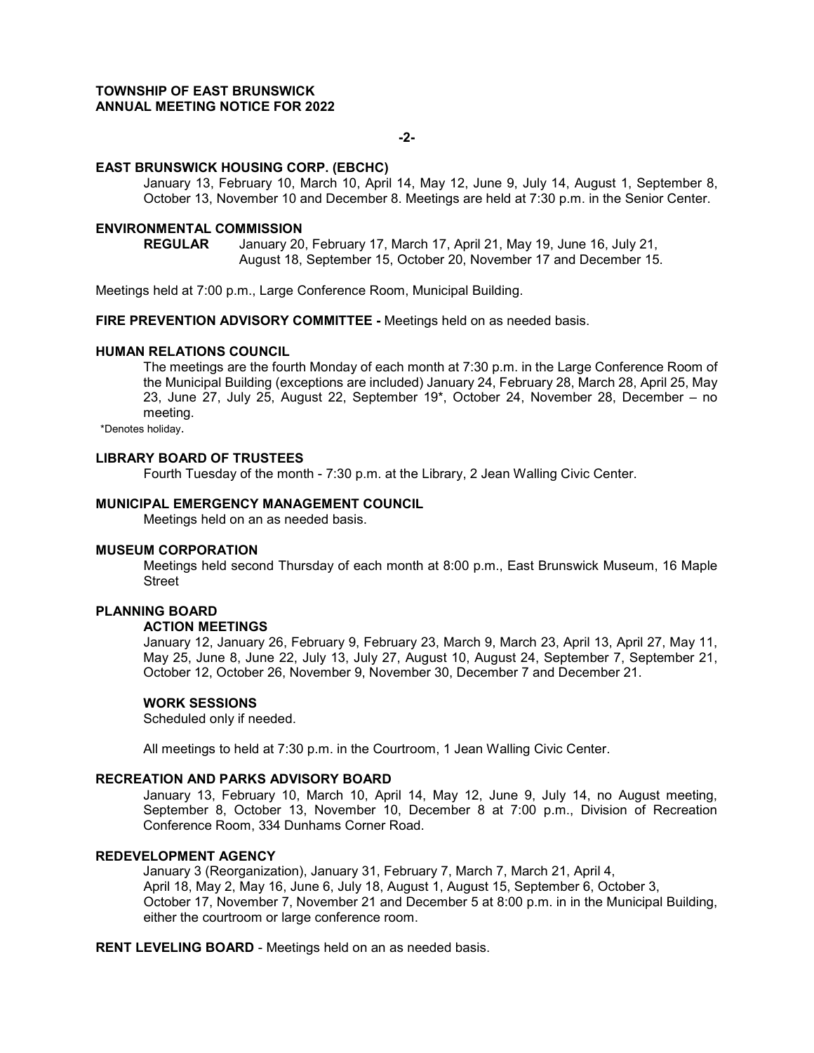# **TOWNSHIP OF EAST BRUNSWICK ANNUAL MEETING NOTICE FOR 2022**

#### **-2-**

#### **EAST BRUNSWICK HOUSING CORP. (EBCHC)**

January 13, February 10, March 10, April 14, May 12, June 9, July 14, August 1, September 8, October 13, November 10 and December 8. Meetings are held at 7:30 p.m. in the Senior Center.

# **ENVIRONMENTAL COMMISSION**

**REGULAR** January 20, February 17, March 17, April 21, May 19, June 16, July 21, August 18, September 15, October 20, November 17 and December 15.

Meetings held at 7:00 p.m., Large Conference Room, Municipal Building.

**FIRE PREVENTION ADVISORY COMMITTEE -** Meetings held on as needed basis.

# **HUMAN RELATIONS COUNCIL**

The meetings are the fourth Monday of each month at 7:30 p.m. in the Large Conference Room of the Municipal Building (exceptions are included) January 24, February 28, March 28, April 25, May 23, June 27, July 25, August 22, September 19\*, October 24, November 28, December – no meeting.

\*Denotes holiday.

#### **LIBRARY BOARD OF TRUSTEES**

Fourth Tuesday of the month - 7:30 p.m. at the Library, 2 Jean Walling Civic Center.

# **MUNICIPAL EMERGENCY MANAGEMENT COUNCIL**

Meetings held on an as needed basis.

#### **MUSEUM CORPORATION**

Meetings held second Thursday of each month at 8:00 p.m., East Brunswick Museum, 16 Maple Street

# **PLANNING BOARD**

# **ACTION MEETINGS**

January 12, January 26, February 9, February 23, March 9, March 23, April 13, April 27, May 11, May 25, June 8, June 22, July 13, July 27, August 10, August 24, September 7, September 21, October 12, October 26, November 9, November 30, December 7 and December 21.

#### **WORK SESSIONS**

Scheduled only if needed.

All meetings to held at 7:30 p.m. in the Courtroom, 1 Jean Walling Civic Center.

#### **RECREATION AND PARKS ADVISORY BOARD**

January 13, February 10, March 10, April 14, May 12, June 9, July 14, no August meeting, September 8, October 13, November 10, December 8 at 7:00 p.m., Division of Recreation Conference Room, 334 Dunhams Corner Road.

# **REDEVELOPMENT AGENCY**

January 3 (Reorganization), January 31, February 7, March 7, March 21, April 4, April 18, May 2, May 16, June 6, July 18, August 1, August 15, September 6, October 3, October 17, November 7, November 21 and December 5 at 8:00 p.m. in in the Municipal Building, either the courtroom or large conference room.

**RENT LEVELING BOARD** - Meetings held on an as needed basis.